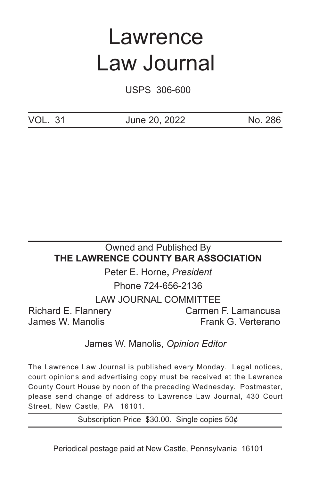# Lawrence Law Journal

USPS 306-600

VOL. 31 June 20, 2022 No. 286

# Owned and Published By **THE LAWRENCE COUNTY BAR ASSOCIATION** Peter E. Horne**,** *President*

Phone 724-656-2136 LAW JOURNAL COMMITTEE Richard E. Flannery Carmen F. Lamancusa James W. Manolis **Frank G. Verterano** 

# James W. Manolis, *Opinion Editor*

The Lawrence Law Journal is published every Monday. Legal notices, court opinions and advertising copy must be received at the Lawrence County Court House by noon of the preceding Wednesday. Postmaster, please send change of address to Lawrence Law Journal, 430 Court Street, New Castle, PA 16101.

Subscription Price \$30.00. Single copies 50¢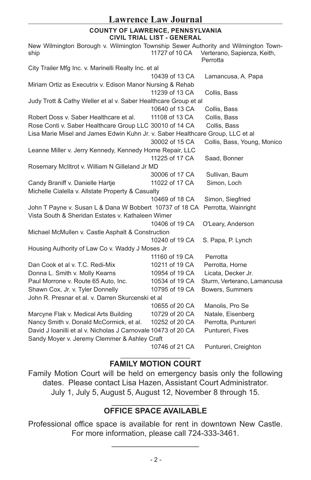# **COUNTY OF LAWRENCE, PENNSYLVANIA CIVIL TRIAL LIST - GENERAL**

New Wilmington Borough v. Wilmington Township Sewer Authority and Wilmington Township 11727 of 10 CA Verterano, Sapienza, Keith, Perrotta City Trailer Mfg Inc. v. Marinelli Realty Inc. et al 10439 of 13 CA Lamancusa, A. Papa Miriam Ortiz as Executrix v. Edison Manor Nursing & Rehab 11239 of 13 CA Collis, Bass Judy Trott & Cathy Weller et al v. Saber Healthcare Group et al 10640 of 13 CA Collis, Bass Robert Doss v. Saber Healthcare et al. 11108 of 13 CA Collis, Bass Rose Conti v. Saber Healthcare Group LLC 30010 of 14 CA Collis, Bass Lisa Marie Misel and James Edwin Kuhn Jr. v. Saber Healthcare Group, LLC et al 30002 of 15 CA Collis, Bass, Young, Monico Leanne Miller v. Jerry Kennedy, Kennedy Home Repair, LLC 11225 of 17 CA Saad, Bonner Rosemary McIltrot v. William N Gilleland Jr MD 30006 of 17 CA Sullivan, Baum Candy Braniff v. Danielle Hartje 11022 of 17 CA Simon, Loch Michelle Cialella v. Allstate Property & Casualty 10469 of 18 CA Simon, Siegfried John T Payne v. Susan L & Dana W Bobbert 10737 of 18 CA Perrotta, Wainright Vista South & Sheridan Estates v. Kathaleen Wimer 10406 of 19 CA O'Leary, Anderson Michael McMullen v. Castle Asphalt & Construction 10240 of 19 CA S. Papa, P. Lynch Housing Authority of Law Co v. Waddy J Moses Jr 11160 of 19 CA Perrotta Dan Cook et al v. T.C. Redi-Mix 10211 of 19 CA Perrotta, Horne Donna L. Smith v. Molly Kearns 10954 of 19 CA Licata, Decker Jr. Paul Morrone v. Route 65 Auto, Inc. 10534 of 19 CA Sturm, Verterano, Lamancusa Shawn Cox, Jr. v. Tyler Donnelly 10795 of 19 CA Bowers, Summers John R. Presnar et al. v. Darren Skurcenski et al 10655 of 20 CA Manolis, Pro Se Marcyne Flak v. Medical Arts Building 10729 of 20 CA Natale, Eisenberg Nancy Smith v. Donald McCormick, et al. 10252 of 20 CA Perrotta, Puntureri David J Ioanilli et al v. Nicholas J Carnovale 10473 of 20 CA Puntureri, Fives Sandy Moyer v. Jeremy Clemmer & Ashley Craft 10746 of 21 CA Puntureri, Creighton

## \_\_\_\_\_\_\_\_\_\_\_\_\_\_\_\_\_\_\_\_ **FAMILY MOTION COURT**

Family Motion Court will be held on emergency basis only the following dates. Please contact Lisa Hazen, Assistant Court Administrator. July 1, July 5, August 5, August 12, November 8 through 15.

# $\overline{\phantom{a}}$  , and the set of the set of the set of the set of the set of the set of the set of the set of the set of the set of the set of the set of the set of the set of the set of the set of the set of the set of the s **OFFICE SPACE AVAILABLE**

Professional office space is available for rent in downtown New Castle. For more information, please call 724-333-3461.  $\overline{\phantom{a}}$  , and the set of the set of the set of the set of the set of the set of the set of the set of the set of the set of the set of the set of the set of the set of the set of the set of the set of the set of the s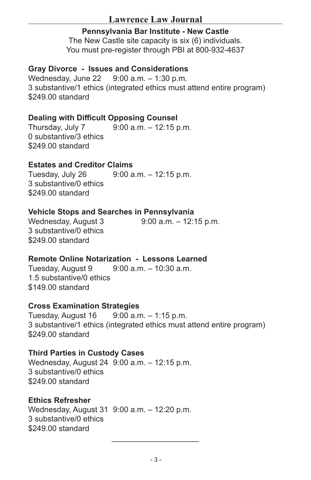# **Lawrence Law Journal**

# **Pennsylvania Bar Institute - New Castle**

The New Castle site capacity is six (6) individuals. You must pre-register through PBI at 800-932-4637

# **Gray Divorce - Issues and Considerations**

Wednesday, June 22 9:00 a.m. – 1:30 p.m. 3 substantive/1 ethics (integrated ethics must attend entire program) \$249.00 standard

# **Dealing with Difficult Opposing Counsel**

Thursday, July 7 9:00 a.m. – 12:15 p.m. 0 substantive/3 ethics \$249.00 standard

# **Estates and Creditor Claims**

Tuesday, July 26 9:00 a.m. – 12:15 p.m. 3 substantive/0 ethics \$249.00 standard

# **Vehicle Stops and Searches in Pennsylvania**

Wednesday, August 3 9:00 a.m. – 12:15 p.m. 3 substantive/0 ethics \$249.00 standard

# **Remote Online Notarization - Lessons Learned**

Tuesday, August 9 9:00 a.m. – 10:30 a.m. 1.5 substantive/0 ethics \$149.00 standard

# **Cross Examination Strategies**

Tuesday, August 16 9:00 a.m. – 1:15 p.m. 3 substantive/1 ethics (integrated ethics must attend entire program) \$249.00 standard

# **Third Parties in Custody Cases**

Wednesday, August 24 9:00 a.m. – 12:15 p.m. 3 substantive/0 ethics \$249.00 standard

# **Ethics Refresher**

Wednesday, August 31 9:00 a.m. – 12:20 p.m. 3 substantive/0 ethics \$249.00 standard

 $\overline{\phantom{a}}$  , where  $\overline{\phantom{a}}$  , where  $\overline{\phantom{a}}$  , where  $\overline{\phantom{a}}$  ,  $\overline{\phantom{a}}$  ,  $\overline{\phantom{a}}$  ,  $\overline{\phantom{a}}$  ,  $\overline{\phantom{a}}$  ,  $\overline{\phantom{a}}$  ,  $\overline{\phantom{a}}$  ,  $\overline{\phantom{a}}$  ,  $\overline{\phantom{a}}$  ,  $\overline{\phantom{a}}$  ,  $\overline{\phantom{a}}$  ,  $\overline{\phantom$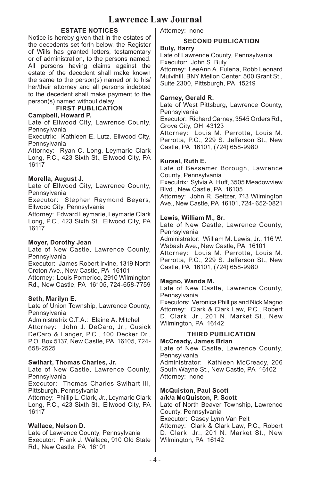# **ESTATE NOTICES**

Notice is hereby given that in the estates of the decedents set forth below, the Register of Wills has granted letters, testamentary or of administration, to the persons named. All persons having claims against the estate of the decedent shall make known the same to the person(s) named or to his/ her/their attorney and all persons indebted to the decedent shall make payment to the person(s) named without delay.

**FIRST PUBLICATION**

#### **Campbell, Howard P.**

Late of Ellwood City, Lawrence County, **Pennsylvania** 

Executrix: Kathleen E. Lutz, Ellwood City, **Pennsylvania** 

Attorney: Ryan C. Long, Leymarie Clark Long, P.C., 423 Sixth St., Ellwood City, PA 16117

## **Morella, August J.**

Late of Ellwood City, Lawrence County, **Pennsylvania** 

Executor: Stephen Raymond Beyers, Ellwood City, Pennsylvania

Attorney: Edward Leymarie, Leymarie Clark Long, P.C., 423 Sixth St., Ellwood City, PA 16117

#### **Moyer, Dorothy Jean**

Late of New Castle, Lawrence County, **Pennsylvania** 

Executor: James Robert Irvine, 1319 North Croton Ave., New Castle, PA 16101

Attorney: Louis Pomerico, 2910 Wilmington Rd., New Castle, PA 16105, 724-658-7759

## **Seth, Marilyn E.**

Late of Union Township, Lawrence County, Pennsylvania

Administratrix C.T.A.: Elaine A. Mitchell Attorney: John J. DeCaro, Jr., Cusick DeCaro & Langer, P.C., 100 Decker Dr., P.O. Box 5137, New Castle, PA 16105, 724- 658-2525

#### **Swihart, Thomas Charles, Jr.**

Late of New Castle, Lawrence County, Pennsylvania

Executor: Thomas Charles Swihart III, Pittsburgh, Pennsylvania

Attorney: Phillip L. Clark, Jr., Leymarie Clark Long, P.C., 423 Sixth St., Ellwood City, PA 16117

## **Wallace, Nelson D.**

Late of Lawrence County, Pennsylvania Executor: Frank J. Wallace, 910 Old State Rd., New Castle, PA 16101

Attorney: none

# **SECOND PUBLICATION**

#### **Buly, Harry**

Late of Lawrence County, Pennsylvania Executor: John S. Buly Attorney: LeeAnn A. Fulena, Robb Leonard Mulvihill, BNY Mellon Center, 500 Grant St., Suite 2300, Pittsburgh, PA 15219

## **Carney, Gerald R.**

Late of West Pittsburg, Lawrence County, **Pennsylvania** Executor: Richard Carney, 3545 Orders Rd., Grove City, OH 43123 Attorney: Louis M. Perrotta, Louis M. Perrotta, P.C., 229 S. Jefferson St., New Castle, PA 16101, (724) 658-9980

## **Kursel, Ruth E.**

Late of Bessemer Borough, Lawrence County, Pennsylvania Executrix: Sylvia A. Huff, 3505 Meadowview Blvd., New Castle, PA 16105 Attorney: John R. Seltzer, 713 Wilmington Ave., New Castle, PA 16101, 724- 652-0821

## **Lewis, William M., Sr.**

Late of New Castle, Lawrence County, **Pennsylvania** Administrator: William M. Lewis, Jr., 116 W. Wabash Ave., New Castle, PA 16101

Attorney: Louis M. Perrotta, Louis M. Perrotta, P.C., 229 S. Jefferson St., New Castle, PA 16101, (724) 658-9980

## **Magno, Wanda M.**

Late of New Castle, Lawrence County, **Pennsylvania** 

Executors: Veronica Phillips and Nick Magno Attorney: Clark & Clark Law, P.C., Robert D. Clark, Jr., 201 N. Market St., New Wilmington, PA 16142

# **THIRD PUBLICATION**

## **McCready, James Brian**

Late of New Castle, Lawrence County, **Pennsylvania** Administrator: Kathleen McCready, 206 South Wayne St., New Castle, PA 16102 Attorney: none

#### **McQuiston, Paul Scott a/k/a McQuiston, P. Scott**

Late of North Beaver Township, Lawrence County, Pennsylvania Executor: Casey Lynn Van Pelt Attorney: Clark & Clark Law, P.C., Robert D. Clark, Jr., 201 N. Market St., New Wilmington, PA 16142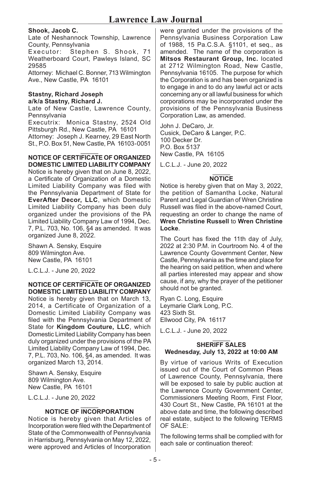## **Shook, Jacob C.**

Late of Neshannock Township, Lawrence County, Pennsylvania

Executor: Stephen S. Shook, 71 Weatherboard Court, Pawleys Island, SC 29585

Attorney: Michael C. Bonner, 713 Wilmington Ave., New Castle, PA 16101

#### **Stastny, Richard Joseph a/k/a Stastny, Richard J.**

Late of New Castle, Lawrence County, **Pennsylvania** 

Executrix: Monica Stastny, 2524 Old Pittsburgh Rd., New Castle, PA 16101

Attorney: Joseph J. Kearney, 29 East North St., P.O. Box 51, New Castle, PA 16103-0051

 $\mathcal{L}$ **NOTICE OF CERTIFICATE OF ORGANIZED DOMESTIC LIMITED LIABILITY COMPANY**

Notice is hereby given that on June 8, 2022, a Certificate of Organization of a Domestic Limited Liability Company was filed with the Pennsylvania Department of State for **EverAfter Decor, LLC**, which Domestic Limited Liability Company has been duly organized under the provisions of the PA Limited Liability Company Law of 1994, Dec. 7, P.L. 703, No. 106, §4 as amended. It was organized June 8, 2022.

Shawn A. Sensky, Esquire 809 Wilmington Ave. New Castle, PA 16101

L.C.L.J. - June 20, 2022

#### $\mathcal{L}$ **NOTICE OF CERTIFICATE OF ORGANIZED DOMESTIC LIMITED LIABILITY COMPANY**

Notice is hereby given that on March 13, 2014, a Certificate of Organization of a Domestic Limited Liability Company was filed with the Pennsylvania Department of State for **Kingdom Couture, LLC**, which Domestic Limited Liability Company has been duly organized under the provisions of the PA Limited Liability Company Law of 1994, Dec. 7, P.L. 703, No. 106, §4, as amended. It was organized March 13, 2014.

Shawn A. Sensky, Esquire 809 Wilmington Ave. New Castle, PA 16101

L.C.L.J. - June 20, 2022

#### $\mathcal{L}$ **NOTICE OF INCORPORATION**

Notice is hereby given that Articles of Incorporation were filed with the Department of State of the Commonwealth of Pennsylvania in Harrisburg, Pennsylvania on May 12, 2022, were approved and Articles of Incorporation

were granted under the provisions of the Pennsylvania Business Corporation Law of 1988, 15 Pa.C.S.A. §1101, et seq., as amended. The name of the corporation is **Mitsos Restaurant Group, Inc.** located at 2712 Wilmington Road, New Castle, Pennsylvania 16105. The purpose for which the Corporation is and has been organized is to engage in and to do any lawful act or acts concerning any or all lawful business for which corporations may be incorporated under the provisions of the Pennsylvania Business Corporation Law, as amended.

John J. DeCaro, Jr. Cusick, DeCaro & Langer, P.C. 100 Decker Dr. P.O. Box 5137 New Castle, PA 16105

L.C.L.J. - June 20, 2022

#### $\mathcal{L}$ **NOTICE**

Notice is hereby given that on May 3, 2022, the petition of Samantha Locke, Natural Parent and Legal Guardian of Wren Christine Russell was filed in the above-named Court, requesting an order to change the name of **Wren Christine Russell** to **Wren Christine Locke**.

The Court has fixed the 11th day of July, 2022 at 2:30 P.M. in Courtroom No. 4 of the Lawrence County Government Center, New Castle, Pennsylvania as the time and place for the hearing on said petition, when and where all parties interested may appear and show cause, if any, why the prayer of the petitioner should not be granted.

Ryan C. Long, Esquire Leymarie Clark Long, P.C. 423 Sixth St. Ellwood City, PA 16117

L.C.L.J. - June 20, 2022

#### $\mathcal{L}$ **SHERIFF SALES Wednesday, July 13, 2022 at 10:00 AM**

By virtue of various Writs of Execution issued out of the Court of Common Pleas of Lawrence County, Pennsylvania, there will be exposed to sale by public auction at the Lawrence County Government Center, Commissioners Meeting Room, First Floor, 430 Court St., New Castle, PA 16101 at the above date and time, the following described real estate, subject to the following TERMS OF SALE:

The following terms shall be complied with for each sale or continuation thereof: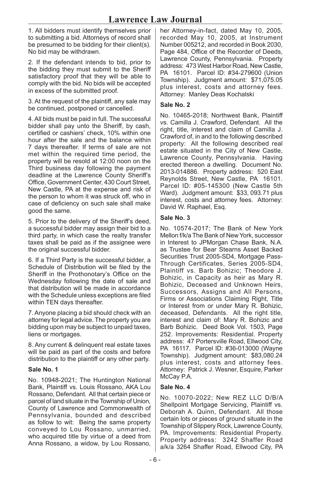1. All bidders must identify themselves prior to submitting a bid. Attorneys of record shall be presumed to be bidding for their client(s). No bid may be withdrawn.

2. If the defendant intends to bid, prior to the bidding they must submit to the Sheriff satisfactory proof that they will be able to comply with the bid. No bids will be accepted in excess of the submitted proof.

3. At the request of the plaintiff, any sale may be continued, postponed or cancelled.

4. All bids must be paid in full. The successful bidder shall pay unto the Sheriff, by cash, certified or cashiers' check, 10% within one hour after the sale and the balance within 7 days thereafter. If terms of sale are not met within the required time period, the property will be resold at 12:00 noon on the Third business day following the payment deadline at the Lawrence County Sheriff's Office, Government Center, 430 Court Street, New Castle, PA at the expense and risk of the person to whom it was struck off, who in case of deficiency on such sale shall make good the same.

5. Prior to the delivery of the Sheriff's deed, a successful bidder may assign their bid to a third party, in which case the realty transfer taxes shall be paid as if the assignee were the original successful bidder.

6. If a Third Party is the successful bidder, a Schedule of Distribution will be filed by the Sheriff in the Prothonotary's Office on the Wednesday following the date of sale and that distribution will be made in accordance with the Schedule unless exceptions are filed within TEN days thereafter.

7. Anyone placing a bid should check with an attorney for legal advice. The property you are bidding upon may be subject to unpaid taxes, liens or mortgages.

8. Any current & delinquent real estate taxes will be paid as part of the costs and before distribution to the plaintiff or any other party.

## **Sale No. 1**

No. 10948-2021; The Huntington National Bank, Plaintiff vs. Louis Rossano, AKA Lou Rossano, Defendant. All that certain piece or parcel of land situate in the Township of Union, County of Lawrence and Commonwealth of Pennsylvania, bounded and described as follow to wit: Being the same property conveyed to Lou Rossano, unmarried, who acquired title by virtue of a deed from Anna Rossano, a widow, by Lou Rossano,

her Attorney-in-fact, dated May 10, 2005, recorded May 10, 2005, at Instrument Number 005212, and recorded in Book 2030, Page 484, Office of the Recorder of Deeds, Lawrence County, Pennsylvania. Property address: 473 West Harbor Road, New Castle, PA 16101. Parcel ID: #34-279600 (Union Township). Judgment amount: \$71,075.05 plus interest, costs and attorney fees. Attorney: Manley Deas Kochalski

## **Sale No. 2**

No. 10465-2018; Northwest Bank, Plaintiff vs. Camilla J. Crawford, Defendant. All the right, title, interest and claim of Camilla J. Crawford of, in and to the following described property: All the following described real estate situated in the City of New Castle, Lawrence County, Pennsylvania. Having erected thereon a dwelling. Document No. 2013-014886. Property address: 520 East Reynolds Street, New Castle, PA 16101. Parcel ID: #05-145300 (New Castle 5th Ward). Judgment amount: \$33, 093.71 plus interest, costs and attorney fees. Attorney: David W. Raphael, Esq.

## **Sale No. 3**

No. 10574-2017; The Bank of New York Mellon f/k/a The Bank of New York, successor in Interest to JPMorgan Chase Bank, N.A. as Trustee for Bear Stearns Asset Backed Securities Trust 2005-SD4, Mortgage Pass-Through Certificates, Series 2005-SD4, Plaintiff vs. Barb Bohizic; Theodore J. Bohizic, in Capacity as heir as Mary R. Bohizic, Deceased and Unknown Heirs, Successors, Assigns and All Persons, Firms or Associations Claiming Right, Title or Interest from or under Mary R. Bohizic, deceased, Defendants. All the right title, interest and claim of: Mary R. Bohizic and Barb Bohizic. Deed Book Vol. 1503, Page 252. Improvements: Residential. Property address: 47 Portersville Road, Ellwood City, PA 16117. Parcel ID: #36-013000 (Wayne Township). Judgment amount: \$83,080.24 plus interest, costs and attorney fees. Attorney: Patrick J. Wesner, Esquire, Parker McCay P.A.

#### **Sale No. 4**

No. 10070-2022; New REZ LLC D/B/A Shellpoint Mortgage Servicing, Plaintiff vs. Deborah A. Quinn, Defendant. All those certain lots or pieces of ground situate in the Township of Slippery Rock, Lawrence County, PA. Improvements: Residential Property. Property address: 3242 Shaffer Road a/k/a 3264 Shaffer Road, Ellwood City, PA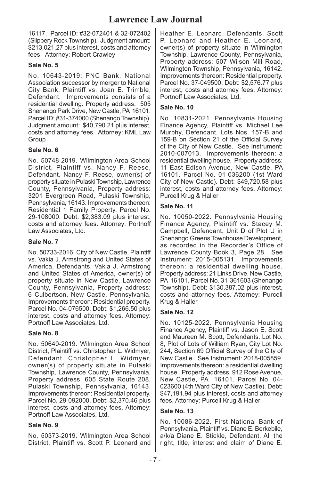16117. Parcel ID: #32-072401 & 32-072402 (Slippery Rock Township). Judgment amount: \$213,021.27 plus interest, costs and attorney fees. Attorney: Robert Crawley

## **Sale No. 5**

No. 10643-2019; PNC Bank, National Association successor by merger to National City Bank, Plaintiff vs. Joan E. Trimble, Defendant. Improvements consists of a residential dwelling. Property address: 505 Shenango Park Drive, New Castle, PA 16101. Parcel ID: #31-374000 (Shenango Township). Judgment amount: \$40,790.21 plus interest, costs and attorney fees. Attorney: KML Law Group

#### **Sale No. 6**

No. 50748-2019. Wilmington Area School District, Plaintiff vs. Nancy F. Reese, Defendant. Nancy F. Reese, owner(s) of property situate in Pulaski Township, Lawrence County, Pennsylvania, Property address: 3201 Evergreen Road, Pulaski Township, Pennsylvania, 16143. Improvements thereon: Residential 1 Family Property. Parcel No. 29-108000. Debt: \$2,383.09 plus interest, costs and attorney fees. Attorney: Portnoff Law Associates, Ltd.

## **Sale No. 7**

No. 50733-2016. City of New Castle, Plaintiff vs. Vakia J. Armstrong and United States of America, Defendants. Vakia J. Armstrong and United States of America, owner(s) of property situate in New Castle, Lawrence County, Pennsylvania, Property address: 6 Culbertson, New Castle, Pennsylvania. Improvements thereon: Residential property. Parcel No. 04-076500. Debt: \$1,266.50 plus interest, costs and attorney fees. Attorney: Portnoff Law Associates, Ltd.

#### **Sale No. 8**

No. 50640-2019. Wilmington Area School District, Plaintiff vs. Christopher L. Widmyer, Defendant. Christopher L. Widmyer, owner(s) of property situate in Pulaski Township, Lawrence County, Pennsylvania, Property address: 605 State Route 208, Pulaski Township, Pennsylvania, 16143. Improvements thereon: Residential property. Parcel No. 29-092000. Debt: \$2,370.46 plus interest, costs and attorney fees. Attorney: Portnoff Law Associates, Ltd.

## **Sale No. 9**

No. 50373-2019. Wilmington Area School District, Plaintiff vs. Scott P. Leonard and Heather E. Leonard, Defendants. Scott P. Leonard and Heather E. Leonard, owner(s) of property situate in Wilmington Township, Lawrence County, Pennsylvania, Property address: 507 Wilson Mill Road, Wilmington Township, Pennsylvania, 16142. Improvements thereon: Residential property. Parcel No. 37-049500. Debt: \$2,576.77 plus interest, costs and attorney fees. Attorney: Portnoff Law Associates, Ltd.

#### **Sale No. 10**

No. 10831-2021. Pennsylvania Housing Finance Agency, Plaintiff vs. Michael Lee Murphy, Defendant. Lots Nos. 157-B and 159-B on Section 21 of the Official Survey of the City of New Castle. See Instrument: 2010-007013. Improvements thereon: a residential dwelling house. Property address: 11 East Edison Avenue, New Castle, PA 16101. Parcel No. 01-036200 (1st Ward City of New Castle). Debt: \$49,720.58 plus interest, costs and attorney fees. Attorney: Purcell Krug & Haller

#### **Sale No. 11**

No. 10050-2022. Pennsylvania Housing Finance Agency, Plaintiff vs. Stacey M. Campbell, Defendant. Unit D of Plot U in Shenango Greens Townhouse Development, as recorded in the Recorder's Office of Lawrence County Book 3, Page 28. See Instrument: 2015-005131. Improvements thereon: a residential dwelling house. Property address: 21 Links Drive, New Castle, PA 16101. Parcel No. 31-361603 (Shenango Township). Debt: \$130,387.02 plus interest, costs and attorney fees. Attorney: Purcell Krug & Haller

#### **Sale No. 12**

No. 10125-2022. Pennsylvania Housing Finance Agency, Plaintiff vs. Jason E. Scott and Maureen M. Scott, Defendants. Lot No. 8, Plot of Lots of William Ryan, City Lot No. 244, Section 69 Official Survey of the City of New Castle. See Instrument: 2018-005859. Improvements thereon: a residential dwelling house. Property address: 912 Rose Avenue, New Castle, PA 16101. Parcel No. 04- 023600 (4th Ward City of New Castle). Debt: \$47,191.94 plus interest, costs and attorney fees. Attorney: Purcell Krug & Haller

#### **Sale No. 13**

No. 10086-2022. First National Bank of Pennsylvania, Plaintiff vs. Diane E. Berkebile, a/k/a Diane E. Stickle, Defendant. All the right, title, interest and claim of Diane E.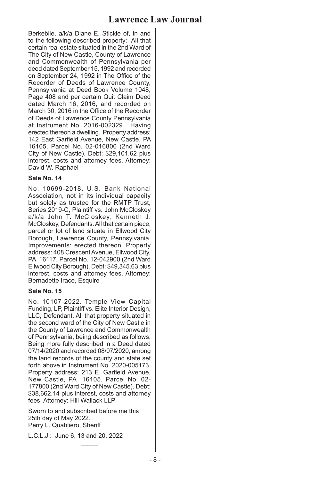Berkebile, a/k/a Diane E. Stickle of, in and to the following described property: All that certain real estate situated in the 2nd Ward of The City of New Castle, County of Lawrence and Commonwealth of Pennsylvania per deed dated September 15, 1992 and recorded on September 24, 1992 in The Office of the Recorder of Deeds of Lawrence County, Pennsylvania at Deed Book Volume 1048, Page 408 and per certain Quit Claim Deed dated March 16, 2016, and recorded on March 30, 2016 in the Office of the Recorder of Deeds of Lawrence County Pennsylvania at Instrument No. 2016-002329. Having erected thereon a dwelling. Property address: 142 East Garfield Avenue, New Castle, PA 16105. Parcel No. 02-016800 (2nd Ward City of New Castle). Debt: \$29,101.62 plus interest, costs and attorney fees. Attorney: David W. Raphael

## **Sale No. 14**

No. 10699-2018. U.S. Bank National Association, not in its individual capacity but solely as trustee for the RMTP Trust, Series 2019-C, Plaintiff vs. John McCloskey a/k/a John T. McCloskey; Kenneth J. McCloskey, Defendants. All that certain piece, parcel or lot of land situate in Ellwood City Borough, Lawrence County, Pennsylvania. Improvements: erected thereon. Property address: 408 Crescent Avenue, Ellwood City, PA 16117. Parcel No. 12-042900 (2nd Ward Ellwood City Borough). Debt: \$49,345.63 plus interest, costs and attorney fees. Attorney: Bernadette Irace, Esquire

## **Sale No. 15**

No. 10107-2022. Temple View Capital Funding, LP, Plaintiff vs. Elite Interior Design, LLC, Defendant. All that property situated in the second ward of the City of New Castle in the County of Lawrence and Commonwealth of Pennsylvania, being described as follows: Being more fully described in a Deed dated 07/14/2020 and recorded 08/07/2020, among the land records of the county and state set forth above in Instrument No. 2020-005173. Property address: 213 E. Garfield Avenue, New Castle, PA 16105. Parcel No. 02- 177800 (2nd Ward City of New Castle). Debt: \$38,662.14 plus interest, costs and attorney fees. Attorney: Hill Wallack LLP

Sworn to and subscribed before me this 25th day of May 2022. Perry L. Quahliero, Sheriff

 $\overline{\phantom{a}}$ 

L.C.L.J.: June 6, 13 and 20, 2022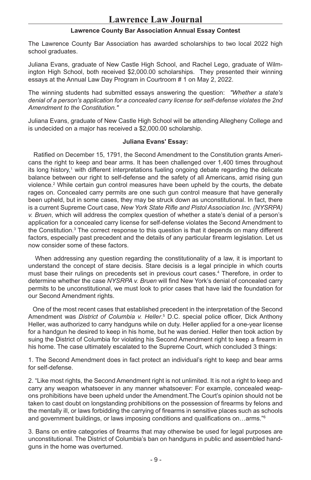## **Lawrence County Bar Association Annual Essay Contest**

The Lawrence County Bar Association has awarded scholarships to two local 2022 high school graduates.

Juliana Evans, graduate of New Castle High School, and Rachel Lego, graduate of Wilmington High School, both received \$2,000.00 scholarships. They presented their winning essays at the Annual Law Day Program in Courtroom # 1 on May 2, 2022.

The winning students had submitted essays answering the question: *"Whether a state's denial of a person's application for a concealed carry license for self-defense violates the 2nd Amendment to the Constitution."*

Juliana Evans, graduate of New Castle High School will be attending Allegheny College and is undecided on a major has received a \$2,000.00 scholarship.

## **Juliana Evans' Essay:**

 Ratified on December 15, 1791, the Second Amendment to the Constitution grants Americans the right to keep and bear arms. It has been challenged over 1,400 times throughout its long history,1 with different interpretations fueling ongoing debate regarding the delicate balance between our right to self-defense and the safety of all Americans, amid rising gun violence.2 While certain gun control measures have been upheld by the courts, the debate rages on. Concealed carry permits are one such gun control measure that have generally been upheld, but in some cases, they may be struck down as unconstitutional. In fact, there is a current Supreme Court case, *New York State Rifle and Pistol Association Inc. (NYSRPA) v. Bruen*, which will address the complex question of whether a state's denial of a person's application for a concealed carry license for self-defense violates the Second Amendment to the Constitution.3 The correct response to this question is that it depends on many different factors, especially past precedent and the details of any particular firearm legislation. Let us now consider some of these factors.

 When addressing any question regarding the constitutionality of a law, it is important to understand the concept of stare decisis. Stare decisis is a legal principle in which courts must base their rulings on precedents set in previous court cases.4 Therefore, in order to determine whether the case *NYSRPA v. Bruen* will find New York's denial of concealed carry permits to be unconstitutional, we must look to prior cases that have laid the foundation for our Second Amendment rights.

 One of the most recent cases that established precedent in the interpretation of the Second Amendment was *District of Columbia v. Heller*. 5 D.C. special police officer, Dick Anthony Heller, was authorized to carry handguns while on duty. Heller applied for a one-year license for a handgun he desired to keep in his home, but he was denied. Heller then took action by suing the District of Columbia for violating his Second Amendment right to keep a firearm in his home. The case ultimately escalated to the Supreme Court, which concluded 3 things:

1. The Second Amendment does in fact protect an individual's right to keep and bear arms for self-defense.

2. "Like most rights, the Second Amendment right is not unlimited. It is not a right to keep and carry any weapon whatsoever in any manner whatsoever: For example, concealed weapons prohibitions have been upheld under the Amendment.The Court's opinion should not be taken to cast doubt on longstanding prohibitions on the possession of firearms by felons and the mentally ill, or laws forbidding the carrying of firearms in sensitive places such as schools and government buildings, or laws imposing conditions and qualifications on…arms."<sup>6</sup>

3. Bans on entire categories of firearms that may otherwise be used for legal purposes are unconstitutional. The District of Columbia's ban on handguns in public and assembled handguns in the home was overturned.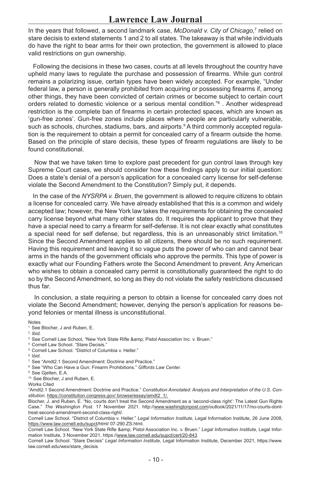In the years that followed, a second landmark case, *McDonald v. City of Chicago*,<sup>7</sup> relied on stare decisis to extend statements 1 and 2 to all states. The takeaway is that while individuals do have the right to bear arms for their own protection, the government is allowed to place valid restrictions on gun ownership.

 Following the decisions in these two cases, courts at all levels throughout the country have upheld many laws to regulate the purchase and possession of firearms. While gun control remains a polarizing issue, certain types have been widely accepted. For example, "Under federal law, a person is generally prohibited from acquiring or possessing firearms if, among other things, they have been convicted of certain crimes or become subject to certain court orders related to domestic violence or a serious mental condition."<sup>8</sup> . Another widespread restriction is the complete ban of firearms in certain protected spaces, which are known as 'gun-free zones'. Gun-free zones include places where people are particularly vulnerable, such as schools, churches, stadiums, bars, and airports.ºA third commonly accepted regulation is the requirement to obtain a permit for concealed carry of a firearm outside the home. Based on the principle of stare decisis, these types of firearm regulations are likely to be found constitutional.

 Now that we have taken time to explore past precedent for gun control laws through key Supreme Court cases, we should consider how these findings apply to our initial question: Does a state's denial of a person's application for a concealed carry license for self-defense violate the Second Amendment to the Constitution? Simply put, it depends.

 In the case of the *NYSRPA v. Bruen*, the government is allowed to require citizens to obtain a license for concealed carry. We have already established that this is a common and widely accepted law; however, the New York law takes the requirements for obtaining the concealed carry license beyond what many other states do. It requires the applicant to prove that they have a special need to carry a firearm for self-defense. It is not clear exactly what constitutes a special need for self defense, but regardless, this is an unreasonably strict limitation.<sup>10</sup> Since the Second Amendment applies to all citizens, there should be no such requirement. Having this requirement and leaving it so vague puts the power of who can and cannot bear arms in the hands of the government officials who approve the permits. This type of power is exactly what our Founding Fathers wrote the Second Amendment to prevent. Any American who wishes to obtain a concealed carry permit is constitutionally guaranteed the right to do so by the Second Amendment, so long as they do not violate the safety restrictions discussed thus far.

 In conclusion, a state requiring a person to obtain a license for concealed carry does not violate the Second Amendment; however, denying the person's application for reasons beyond felonies or mental illness is unconstitutional.

Notes

2. *Ibid.*

- 5. Cornell Law School. "District of Columbia v. Heller."
- 6. I*bid.*
- 7. See "Amdt2.1 Second Amendment: Doctrine and Practice."
- 8. See "Who Can Have a Gun: Firearm Prohibitions." *Giffords Law Center.*
- 9. See Gjelten, E.A.

10. See Blocher, J and Ruben, E.

Works Cited

"Amdt2.1 Second Amendment: Doctrine and Practice." *Constitution Annotated: Analysis and Interpretation of the U.S. Constitution.* https://constitution.congress.gov/ browse/essay/amdt2\_1/.

Blocher, J. and Ruben, E. "No, courts don't treat the Second Amendment as a 'second-class right': The Latest Gun Rights Case." *The Washington Post*. 17 November 2021. http://www.washingtonpost.com/outlook/2021/11/17/no-courts-donttreat-second-amendment-second-class-right/.

Cornell Law School. "District of Columbia v. Heller." *Legal Information Institute*, Legal Information Institute, 26 June 2008, https://www.law.cornell.edu/supct/html/ 07-290.ZS.html.

Cornell Law School. "New York State Rifle & amp; Pistol Association Inc. v. Bruen." Legal Information Institute, Legal Information Institute, 3 November 2021, https://www.law.cornell.edu/supct/cert/20-843.

Cornell Law School. "Stare Decisis" *Legal Information Institute*, Legal Information Institute, December 2021, https://www. law.cornell.edu/wex/stare\_decisis

<sup>1.</sup> See Blocher, J and Ruben, E.

<sup>&</sup>lt;sup>3.</sup> See Cornell Law School, "New York State Rifle & amp; Pistol Association Inc. v. Bruen."

<sup>4.</sup> Cornell Law School. "Stare Decisis."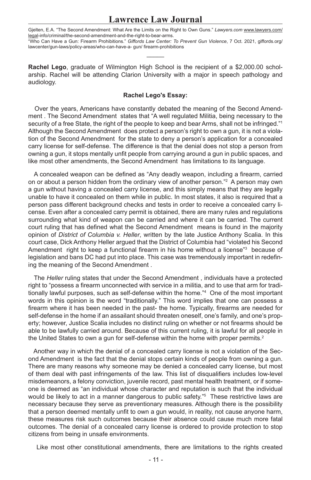# **Lawrence Law Journal**

Gjelten, E.A. "The Second Amendment: What Are the Limits on the Right to Own Guns." *Lawyers.com* www.lawyers.com/ legal-info/criminal/the-second-amendment-and-the-right-to-bear-arms. "Who Can Have a Gun: Firearm Prohibitions." *Giffords Law Center: To Prevent Gun Violence*, 7 Oct. 2021, giffords.org/ lawcenter/gun-laws/policy-areas/who-can-have-a- gun/ firearm-prohibitions

 $\mathcal{L}$ 

**Rachel Lego**, graduate of Wilmington High School is the recipient of a \$2,000.00 scholarship. Rachel will be attending Clarion University with a major in speech pathology and audiology.

#### **Rachel Lego's Essay:**

 Over the years, Americans have constantly debated the meaning of the Second Amendment . The Second Amendment states that "A well regulated Militia, being necessary to the security of a free State, the right of the people to keep and bear Arms, shall not be infringed."<sup>1</sup> Although the Second Amendment does protect a person's right to own a gun, it is not a violation of the Second Amendment for the state to deny a person's application for a concealed carry license for self-defense. The difference is that the denial does not stop a person from owning a gun, it stops mentally unfit people from carrying around a gun in public spaces, and like most other amendments, the Second Amendment has limitations to its language.

 A concealed weapon can be defined as "Any deadly weapon, including a firearm, carried on or about a person hidden from the ordinary view of another person."<sup>2</sup> A person may own a gun without having a concealed carry license, and this simply means that they are legally unable to have it concealed on them while in public. In most states, it also is required that a person pass different background checks and tests in order to receive a concealed carry license. Even after a concealed carry permit is obtained, there are many rules and regulations surrounding what kind of weapon can be carried and where it can be carried. The current court ruling that has defined what the Second Amendment means is found in the majority opinion of *District of Columbia v. Heller*, written by the late Justice Anthony Scalia. In this court case, Dick Anthony Heller argued that the District of Columbia had "violated his Second Amendment right to keep a functional firearm in his home without a license"<sup>3</sup> because of legislation and bans DC had put into place. This case was tremendously important in redefining the meaning of the Second Amendment .

 The *Heller* ruling states that under the Second Amendment , individuals have a protected right to "possess a firearm unconnected with service in a militia, and to use that arm for traditionally lawful purposes, such as self-defense within the home."<sup>4</sup> One of the most important words in this opinion is the word "traditionally." This word implies that one can possess a firearm where it has been needed in the past- the home. Typically, firearms are needed for self-defense in the home if an assailant should threaten oneself, one's family, and one's property; however, Justice Scalia includes no distinct ruling on whether or not firearms should be able to be lawfully carried around. Because of this current ruling, it is lawful for all people in the United States to own a gun for self-defense within the home with proper permits.<sup>2</sup>

 Another way in which the denial of a concealed carry license is not a violation of the Second Amendment is the fact that the denial stops certain kinds of people from owning a gun. There are many reasons why someone may be denied a concealed carry license, but most of them deal with past infringements of the law. This list of disqualifiers includes low-level misdemeanors, a felony conviction, juvenile record, past mental health treatment, or if someone is deemed as "an individual whose character and reputation is such that the individual would be likely to act in a manner dangerous to public safety."<sup>5</sup> These restrictive laws are necessary because they serve as preventionary measures. Although there is the possibility that a person deemed mentally unfit to own a gun would, in reality, not cause anyone harm, these measures risk such outcomes because their absence could cause much more fatal outcomes. The denial of a concealed carry license is ordered to provide protection to stop citizens from being in unsafe environments.

Like most other constitutional amendments, there are limitations to the rights created